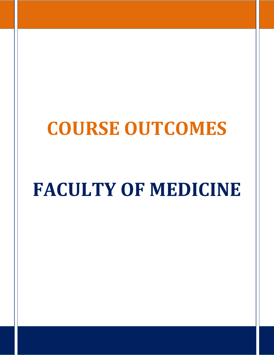## **COURSE OUTCOMES**

# **FACULTY OF MEDICINE**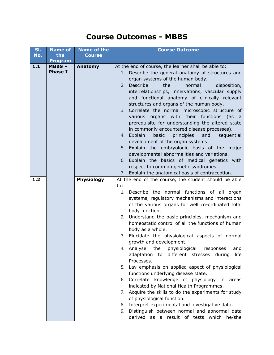#### **Course Outcomes - MBBS**

| SI.<br>No. | <b>Name of</b><br>the      | <b>Name of the</b><br><b>Course</b> | <b>Course Outcome</b>                                                                                                                                                                                                                                                                                                                                                                                                                                                                                                                                                                                                                                                                                                                                                                                                                                                                                                                                                                   |
|------------|----------------------------|-------------------------------------|-----------------------------------------------------------------------------------------------------------------------------------------------------------------------------------------------------------------------------------------------------------------------------------------------------------------------------------------------------------------------------------------------------------------------------------------------------------------------------------------------------------------------------------------------------------------------------------------------------------------------------------------------------------------------------------------------------------------------------------------------------------------------------------------------------------------------------------------------------------------------------------------------------------------------------------------------------------------------------------------|
|            | <b>Program</b>             |                                     |                                                                                                                                                                                                                                                                                                                                                                                                                                                                                                                                                                                                                                                                                                                                                                                                                                                                                                                                                                                         |
| $1.1$      | $MBBS -$<br><b>Phase I</b> | Anatomy                             | At the end of course, the learner shall be able to:<br>1. Describe the general anatomy of structures and<br>organ systems of the human body.<br>Describe<br>the<br>normal<br>disposition,<br>2.<br>interrelationships, innervations, vascular supply<br>and functional anatomy of clinically relevant<br>structures and organs of the human body.<br>3. Correlate the normal microscopic structure of<br>with their functions<br>various organs<br>(as<br>a<br>prerequisite for understanding the altered state<br>in commonly encountered disease processes).<br>and<br>4. Explain<br>basic<br>principles<br>sequential<br>development of the organ systems<br>5. Explain the embryologic basis of the major<br>developmental abnormalities and variations.<br>6. Explain the basics of medical genetics with<br>respect to common genetic syndromes.<br>7. Explain the anatomical basis of contraception.                                                                             |
| 1.2        |                            | Physiology                          | At the end of the course, the student should be able                                                                                                                                                                                                                                                                                                                                                                                                                                                                                                                                                                                                                                                                                                                                                                                                                                                                                                                                    |
|            |                            |                                     | to:<br>Describe the normal functions of all organ<br>1.<br>systems, regulatory mechanisms and interactions<br>of the various organs for well co-ordinated total<br>body function.<br>Understand the basic principles, mechanism and<br>2.<br>homeostatic control of all the functions of human<br>body as a whole.<br>Elucidate the physiological aspects of normal<br>3.<br>growth and development.<br>Analyse<br>the<br>physiological<br>responses<br>and<br>4.<br>adaptation<br>to different stresses during<br>life<br>Processes.<br>Lay emphasis on applied aspect of physiological<br>5.<br>functions underlying disease state.<br>6. Correlate knowledge of physiology in<br>areas<br>indicated by National Health Programmes.<br>7. Acquire the skills to do the experiments for study<br>of physiological function.<br>Interpret experimental and investigative data.<br>8.<br>Distinguish between normal and abnormal data<br>9.<br>derived as a result of tests which he/she |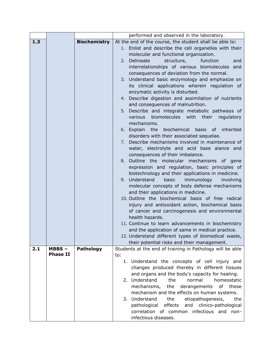|     |                             |                     | performed and observed in the laboratory.                                                                          |
|-----|-----------------------------|---------------------|--------------------------------------------------------------------------------------------------------------------|
| 1.3 |                             | <b>Biochemistry</b> | At the end of the course, the student shall be able to:                                                            |
|     |                             |                     | 1. Enlist and describe the cell organelles with their                                                              |
|     |                             |                     | molecular and functional organization.                                                                             |
|     |                             |                     | 2. Delineate<br>structure,<br>function<br>and                                                                      |
|     |                             |                     | interrelationships of various biomolecules and                                                                     |
|     |                             |                     | consequences of deviation from the normal.                                                                         |
|     |                             |                     | 3. Understand basic enzymology and emphasize on                                                                    |
|     |                             |                     | its clinical applications wherein regulation of                                                                    |
|     |                             |                     | enzymatic activity is disturbed.                                                                                   |
|     |                             |                     | 4. Describe digestion and assimilation of nutrients                                                                |
|     |                             |                     | and consequences of malnutrition.                                                                                  |
|     |                             |                     | 5. Describe and integrate metabolic pathways of<br>biomolecules with their<br>various<br>regulatory<br>mechanisms. |
|     |                             |                     | 6. Explain the<br>biochemical<br>basis of inherited<br>disorders with their associated sequelae.                   |
|     |                             |                     | 7. Describe mechanisms involved in maintenance of                                                                  |
|     |                             |                     | water, electrolyte and acid base alance and                                                                        |
|     |                             |                     | consequences of their imbalance.                                                                                   |
|     |                             |                     | 8. Outline the molecular mechanisms of gene                                                                        |
|     |                             |                     | expression and regulation, basic principles of                                                                     |
|     |                             |                     | biotechnology and their applications in medicine.                                                                  |
|     |                             |                     | Understand<br>basic<br>immunology<br>9.<br>involving                                                               |
|     |                             |                     | molecular concepts of body defense mechanisms                                                                      |
|     |                             |                     | and their applications in medicine.                                                                                |
|     |                             |                     | 10. Outline the biochemical basis of free radical                                                                  |
|     |                             |                     | injury and antioxidant action, biochemical basis                                                                   |
|     |                             |                     | of cancer and carcinogenesis and environmental                                                                     |
|     |                             |                     | health hazards.                                                                                                    |
|     |                             |                     | 11. Continue to learn advancements in biochemistry                                                                 |
|     |                             |                     | and the application of same in medical practice.                                                                   |
|     |                             |                     | 12. Understand different types of biomedical waste,                                                                |
|     |                             |                     | their potential risks and their management.                                                                        |
| 2.1 | $MBBS -$<br><b>Phase II</b> | Pathology           | Students at the end of training in Pathology will be able                                                          |
|     |                             |                     | to:                                                                                                                |
|     |                             |                     | 1. Understand the concepts of cell injury and                                                                      |
|     |                             |                     | changes produced thereby in different tissues                                                                      |
|     |                             |                     | and organs and the body's capacity for healing.<br>2. Understand<br>the<br>normal<br>homeostatic                   |
|     |                             |                     | the<br>derangements<br>of these                                                                                    |
|     |                             |                     | mechanisms,<br>mechanism and the effects on human systems.                                                         |
|     |                             |                     | 3. Understand<br>the<br>etiopathogenesis,<br>the                                                                   |
|     |                             |                     | pathological effects and clinico-pathological                                                                      |
|     |                             |                     | correlation of common infectious and non-                                                                          |
|     |                             |                     | infectious diseases.                                                                                               |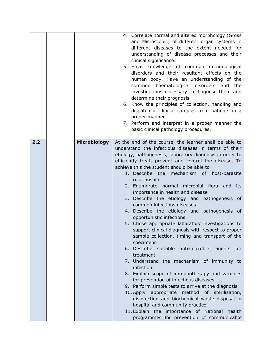|     |                     | 4. Correlate normal and altered morphology (Gross<br>and Microscopic) of different organ systems in<br>different diseases to the extent needed for<br>understanding of disease processes and their<br>clinical significance.<br>5. Have knowledge of common immunological<br>disorders and their resultant effects on the<br>human body. Have an understanding of the<br>common haematological disorders and the<br>investigations necessary to diagnose them and<br>determine their prognosis.<br>6. Know the principles of collection, handling and<br>dispatch of clinical samples from patients in a<br>proper manner.<br>7. Perform and interpret in a proper manner the<br>basic clinical pathology procedures.                                                                                                                                                                                                                                                                                                                                                                                                                                                                                                                                                                  |
|-----|---------------------|----------------------------------------------------------------------------------------------------------------------------------------------------------------------------------------------------------------------------------------------------------------------------------------------------------------------------------------------------------------------------------------------------------------------------------------------------------------------------------------------------------------------------------------------------------------------------------------------------------------------------------------------------------------------------------------------------------------------------------------------------------------------------------------------------------------------------------------------------------------------------------------------------------------------------------------------------------------------------------------------------------------------------------------------------------------------------------------------------------------------------------------------------------------------------------------------------------------------------------------------------------------------------------------|
| 2.2 | <b>Microbiology</b> | At the end of the course, the learner shall be able to<br>understand the infectious diseases in terms of their<br>etiology, pathogenesis, laboratory diagnosis in order to<br>efficiently treat, prevent and control the disease. To<br>achieve this the student should be able to<br>1. Describe the mechanism of host-parasite<br>relationship<br>2. Enumerate normal microbial flora and its<br>importance in health and disease<br>3. Describe the etiology and pathogenesis of<br>common infectious diseases<br>4. Describe the etiology and pathogenesis of<br>opportunistic infections<br>5. Chose appropriate laboratory investigations to<br>support clinical diagnosis with respect to proper<br>sample collection, timing and transport of the<br>specimens<br>6. Describe suitable anti-microbial agents for<br>treatment<br>7. Understand the mechanism of immunity to<br>infection<br>8. Explain scope of immunotherapy and vaccines<br>for prevention of infectious diseases<br>9. Perform simple tests to arrive at the diagnosis<br>10. Apply appropriate method of sterilization,<br>disinfection and biochemical waste disposal in<br>hospital and community practice<br>11. Explain the importance of National health<br>programmes for prevention of communicable |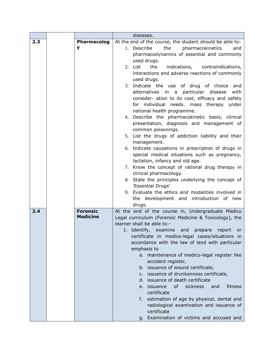|     |                 | diseases.                                                |
|-----|-----------------|----------------------------------------------------------|
| 2.3 | Pharmacolog     | At the end of the course, the student should be able to: |
|     | y               | 1. Describe<br>pharmacokinetics<br>the<br>and            |
|     |                 | pharmacodynamics of essential and commonly               |
|     |                 | used drugs.                                              |
|     |                 | 2. List<br>the<br>indications, contraindications,        |
|     |                 | interactions and adverse reactions of commonly           |
|     |                 | used drugs.                                              |
|     |                 | 3. Indicate the use of drug of choice and                |
|     |                 | particular disease<br>with<br>alternatives in a          |
|     |                 | consider- ation to its cost, efficacy and safety         |
|     |                 | for individual needs. mass therapy<br>under              |
|     |                 | national health programme.                               |
|     |                 | 4. Describe the pharmacokinetic basis, clinical          |
|     |                 | presentation, diagnosis and management of                |
|     |                 | common poisonings.                                       |
|     |                 | 5. List the drugs of addiction liability and their       |
|     |                 | management.                                              |
|     |                 | 6. Indicate causations in prescription of drugs in       |
|     |                 | special medical situations such as pregnancy,            |
|     |                 | lactation, infancy and old age.                          |
|     |                 | 7. Know the concept of rational drug therapy in          |
|     |                 | clinical pharmacology.                                   |
|     |                 | 8. State the principles underlying the concept of        |
|     |                 | 'Essential Drugs'                                        |
|     |                 | 9. Evaluate the ethics and modalities involved in        |
|     |                 | the development and introduction of new                  |
|     |                 | drugs.                                                   |
| 2.4 | <b>Forensic</b> | At the end of the course in, Undergraduate Medico        |
|     | <b>Medicine</b> | Legal curriculum (Forensic Medicine & Toxicology), the   |
|     |                 | learner shall be able to:-                               |
|     |                 | 1. Identify, examine and<br>prepare<br>report<br>or      |
|     |                 | certificate in medico-legal cases/situations in          |
|     |                 | accordance with the law of land with particular          |
|     |                 | emphasis to                                              |
|     |                 | a. maintenance of medico-legal register like             |
|     |                 | accident register,                                       |
|     |                 | b. issuance of wound certificate,                        |
|     |                 | c. issuance of drunkenness certificate,                  |
|     |                 | d. issuance of death certificate                         |
|     |                 | of<br>sickness<br>fitness<br>e. issuance<br>and          |
|     |                 | certificate                                              |
|     |                 | f. estimation of age by physical, dental and             |
|     |                 | radiological examination and issuance of                 |
|     |                 | certificate                                              |
|     |                 | g. Examination of victims and accused and                |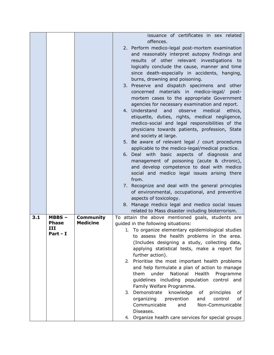|     |                 |                  | issuance of certificates in sex related                                   |
|-----|-----------------|------------------|---------------------------------------------------------------------------|
|     |                 |                  | offences.                                                                 |
|     |                 |                  | 2. Perform medico-legal post-mortem examination                           |
|     |                 |                  | and reasonably interpret autopsy findings and                             |
|     |                 |                  |                                                                           |
|     |                 |                  | results of other relevant investigations to                               |
|     |                 |                  | logically conclude the cause, manner and time                             |
|     |                 |                  | since death-especially in accidents, hanging,                             |
|     |                 |                  | burns, drowning and poisoning.                                            |
|     |                 |                  | 3. Preserve and dispatch specimens and<br>other                           |
|     |                 |                  | concerned materials in medico-legal/<br>post-                             |
|     |                 |                  |                                                                           |
|     |                 |                  | mortem cases to the appropriate Government                                |
|     |                 |                  | agencies for necessary examination and report.                            |
|     |                 |                  | 4. Understand<br>and<br>observe<br>medical<br>ethics,                     |
|     |                 |                  | etiquette, duties, rights, medical negligence,                            |
|     |                 |                  | medico-social and legal responsibilities of the                           |
|     |                 |                  | physicians towards patients, profession, State                            |
|     |                 |                  |                                                                           |
|     |                 |                  | and society at large.<br>5. Be aware of relevant legal / court procedures |
|     |                 |                  |                                                                           |
|     |                 |                  | applicable to the medico-legal/medical practice.                          |
|     |                 |                  | 6. Deal with basic aspects of diagnosis and                               |
|     |                 |                  | management of poisoning (acute & chronic),                                |
|     |                 |                  | and develop competence to deal with medico                                |
|     |                 |                  | social and medico legal issues arising there                              |
|     |                 |                  | from.                                                                     |
|     |                 |                  | 7. Recognize and deal with the general principles                         |
|     |                 |                  | of environmental, occupational, and preventive                            |
|     |                 |                  | aspects of toxicology.                                                    |
|     |                 |                  | 8. Manage medico legal and medico social issues                           |
|     |                 |                  |                                                                           |
|     |                 |                  | related to Mass disaster including bioterrorism.                          |
| 3.1 | $MBBS -$        | <b>Community</b> | To attain the above mentioned goals, students are                         |
|     | <b>Phase</b>    | <b>Medicine</b>  | guided in the following situations:                                       |
|     | III<br>Part - I |                  | To organize elementary epidemiological studies<br>1.                      |
|     |                 |                  | to assess the health problems in the area.                                |
|     |                 |                  | (Includes designing a study, collecting data,                             |
|     |                 |                  | applying statistical tests, make a report for                             |
|     |                 |                  | further action).                                                          |
|     |                 |                  | Prioritise the most important health problems<br>2.                       |
|     |                 |                  | and help formulate a plan of action to manage                             |
|     |                 |                  |                                                                           |
|     |                 |                  | them<br>under<br>National<br>Health<br>Programme                          |
|     |                 |                  | guidelines including population control and                               |
|     |                 |                  | Family Welfare Programme.                                                 |
|     |                 |                  | Demonstrate<br>knowledge<br>of<br>principles<br>3.<br>оf                  |
|     |                 |                  | control<br>of<br>organizing<br>prevention<br>and                          |
|     |                 |                  | Communicable<br>Non-Communicable<br>and                                   |
|     |                 |                  | Diseases.                                                                 |
|     |                 |                  |                                                                           |
|     |                 |                  | 4. Organize health care services for special groups                       |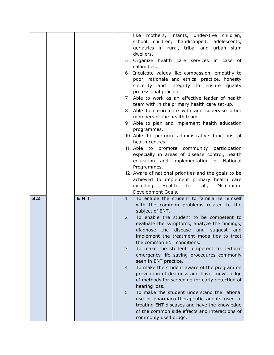|     |            | like mothers, infants, under-five children,                                                 |
|-----|------------|---------------------------------------------------------------------------------------------|
|     |            | school children, handicapped, adolescents,                                                  |
|     |            | geriatrics in rural, tribal and urban slum                                                  |
|     |            | dwellers.                                                                                   |
|     |            | 5. Organize health care services in case of                                                 |
|     |            | calamities.                                                                                 |
|     |            | Inculcate values like compassion, empathy to<br>6.                                          |
|     |            | poor, rationale and ethical practice, honesty                                               |
|     |            | sincerity and integrity to ensure<br>quality                                                |
|     |            | professional practice.                                                                      |
|     |            | 7. Able to work as an effective leader of health                                            |
|     |            | team with in the primary health care set-up.                                                |
|     |            | 8. Able to co-ordinate with and supervise other<br>members of the health team.              |
|     |            | 9. Able to plan and implement health education                                              |
|     |            | programmes.                                                                                 |
|     |            | 10. Able to perform administrative functions of<br>health centres.                          |
|     |            | 11. Able to promote community participation                                                 |
|     |            | especially in areas of disease control, health                                              |
|     |            | education and implementation of National                                                    |
|     |            | Programmes.                                                                                 |
|     |            | 12. Aware of national priorities and the goals to be                                        |
|     |            | achieved to implement primary health care                                                   |
|     |            | including<br>Health<br>for<br>all,<br>Millennium                                            |
|     |            | Development Goals.                                                                          |
| 3.2 | <b>ENT</b> | To enable the student to familiarize himself<br>1.                                          |
|     |            | with the common problems related to the                                                     |
|     |            | subject of ENT.                                                                             |
|     |            | To enable the student to be competent to<br>2.                                              |
|     |            | evaluate the symptoms, analyze the findings,                                                |
|     |            | the<br>disease<br>diagnose<br>and<br>suggest<br>and                                         |
|     |            | implement the treatment modalities to treat                                                 |
|     |            | the common ENT conditions.                                                                  |
|     |            | 3.<br>To make the student competent to perform<br>emergency life saving procedures commonly |
|     |            | seen in ENT practice.                                                                       |
|     |            | To make the student aware of the program on<br>4.                                           |
|     |            | prevention of deafness and have knowl- edge                                                 |
|     |            | of methods for screening for early detection of                                             |
|     |            | hearing loss.                                                                               |
|     |            | 5.<br>To make the student understand the rational                                           |
|     |            | use of pharmaco-therapeutic agents used in                                                  |
|     |            | treating ENT diseases and have the knowledge                                                |
|     |            | of the common side effects and interactions of                                              |
|     |            |                                                                                             |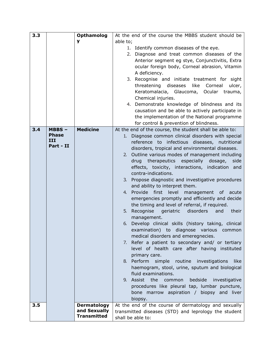| 3.3 |                  | <b>Opthamolog</b>  | At the end of the course the MBBS student should be                                                      |
|-----|------------------|--------------------|----------------------------------------------------------------------------------------------------------|
|     |                  | y                  | able to;                                                                                                 |
|     |                  |                    | 1. Identify common diseases of the eye.                                                                  |
|     |                  |                    | 2. Diagnose and treat common diseases of the                                                             |
|     |                  |                    | Anterior segment eg stye, Conjunctivitis, Extra                                                          |
|     |                  |                    | ocular foreign body, Corneal abrasion, Vitamin                                                           |
|     |                  |                    | A deficiency.                                                                                            |
|     |                  |                    | 3. Recognise and initiate treatment for sight<br>like<br>threatening diseases<br>Corneal<br>ulcer,       |
|     |                  |                    | Keratomalacia, Glaucoma, Ocular trauma,                                                                  |
|     |                  |                    | Chemical injuries.                                                                                       |
|     |                  |                    | 4. Demonstrate knowledge of blindness and its                                                            |
|     |                  |                    | causation and be able to actively participate in                                                         |
|     |                  |                    | the implementation of the National programme                                                             |
|     |                  |                    | for control & prevention of blindness.                                                                   |
| 3.4 | $MBBS -$         | <b>Medicine</b>    | At the end of the course, the student shall be able to:                                                  |
|     | <b>Phase</b>     |                    | 1. Diagnose common clinical disorders with special                                                       |
|     | III<br>Part - II |                    | reference to infectious diseases, nutritional                                                            |
|     |                  |                    | disorders, tropical and environmental diseases.                                                          |
|     |                  |                    | 2. Outline various modes of management including<br>drug therapeutics especially<br>dosage,<br>side      |
|     |                  |                    | effects, toxicity, interactions, indication and                                                          |
|     |                  |                    | contra-indications.                                                                                      |
|     |                  |                    | 3. Propose diagnostic and investigative procedures                                                       |
|     |                  |                    | and ability to interpret them.                                                                           |
|     |                  |                    | 4. Provide first level<br>management of acute                                                            |
|     |                  |                    | emergencies promptly and efficiently and decide                                                          |
|     |                  |                    | the timing and level of referral, if required.<br>5. Recognise<br>disorders<br>geriatric<br>and<br>their |
|     |                  |                    | management.                                                                                              |
|     |                  |                    | 6. Develop clinical skills (history taking, clinical                                                     |
|     |                  |                    | examination) to diagnose various common                                                                  |
|     |                  |                    | medical disorders and emeregnecies.                                                                      |
|     |                  |                    | 7. Refer a patient to secondary and/ or tertiary                                                         |
|     |                  |                    | level of health care after having instituted                                                             |
|     |                  |                    | primary care.                                                                                            |
|     |                  |                    | 8. Perform<br>simple<br>routine<br>investigations<br>like                                                |
|     |                  |                    | haemogram, stool, urine, sputum and biological<br>fluid examinations.                                    |
|     |                  |                    | 9. Assist the<br>bedside<br>investigative<br>common                                                      |
|     |                  |                    | procedures like pleural tap, lumbar puncture,                                                            |
|     |                  |                    | bone marrow aspiration / biopsy and liver                                                                |
|     |                  |                    | biopsy.                                                                                                  |
| 3.5 |                  | <b>Dermatology</b> | At the end of the course of dermatology and sexually                                                     |
|     |                  | and Sexually       | transmitted diseases (STD) and leprology the student                                                     |
|     |                  | <b>Transmitted</b> | shall be able to:                                                                                        |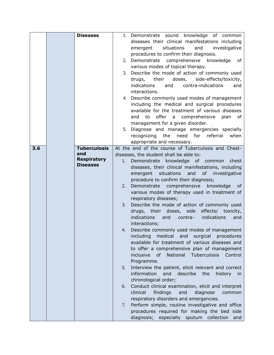|     | <b>Diseases</b>     |    | 1. Demonstrate sound knowledge of common                             |
|-----|---------------------|----|----------------------------------------------------------------------|
|     |                     |    | diseases their clinical manifestations including                     |
|     |                     |    | situations<br>investigative<br>emergent<br>and                       |
|     |                     |    | procedures to confirm their diagnosis.                               |
|     |                     |    | 2. Demonstrate comprehensive knowledge<br>of                         |
|     |                     |    | various modes of topical therapy.                                    |
|     |                     |    | 3. Describe the mode of action of commonly used                      |
|     |                     |    | doses, side-effects/toxicity,<br>drugs, their                        |
|     |                     |    | contra-indications<br>indications<br>and<br>and                      |
|     |                     |    | interactions.                                                        |
|     |                     |    | 4. Describe commonly used modes of management                        |
|     |                     |    | including the medical and surgical procedures                        |
|     |                     |    | available for the treatment of various diseases                      |
|     |                     |    | offer a comprehensive<br>plan<br>and<br>to<br>of                     |
|     |                     |    | management for a given disorder.                                     |
|     |                     |    | 5. Diagnose and manage emergencies specially                         |
|     |                     |    | recognizing the need for referral<br>when                            |
|     |                     |    | appropriate and necessary.                                           |
| 3.6 | <b>Tuberculosis</b> |    | At the end of the course of Tuberculosis and Chest-                  |
|     | and                 |    | diseases, the student shall be able to:                              |
|     | <b>Respiratory</b>  | 1. | Demonstrate knowledge of common<br>chest                             |
|     | <b>Diseases</b>     |    | diseases, their clinical manifestations, including                   |
|     |                     |    | emergent situations<br>and<br>of investigative                       |
|     |                     |    | procedure to confirm their diagnosis;                                |
|     |                     | 2. | comprehensive<br>knowledge<br>Demonstrate<br>0f                      |
|     |                     |    | various modes of therapy used in treatment of                        |
|     |                     |    | respiratory diseases;                                                |
|     |                     | 3. | Describe the mode of action of commonly used                         |
|     |                     |    | drugs, their doses, side effects/ toxicity,                          |
|     |                     |    | indications<br>and<br>contra-<br>indications<br>and                  |
|     |                     |    | interactions;                                                        |
|     |                     | 4. | Describe commonly used modes of management                           |
|     |                     |    | including<br>medical<br>surgical<br>and<br>procedures                |
|     |                     |    | available for treatment of various diseases and                      |
|     |                     |    | to offer a comprehensive plan of management                          |
|     |                     |    | National<br><b>Tuberculosis</b><br>inclusive<br><b>of</b><br>Control |
|     |                     |    | Programme.                                                           |
|     |                     | 5. | Interview the patient, elicit relevant and correct                   |
|     |                     |    | information<br>and<br>describe<br>the<br>history<br>$\mathsf{I}$     |
|     |                     |    | chronological order;                                                 |
|     |                     | 6. | Conduct clinical examination, elicit and interpret                   |
|     |                     |    | clinical<br>findings<br>and<br>diagnose<br>common                    |
|     |                     |    | respiratory disorders and emergencies.                               |
|     |                     | 7. | Perform simple, routine investigative and office                     |
|     |                     |    | procedures required for making the bed side                          |
|     |                     |    | diagnosis;<br>especially sputum collection<br>and                    |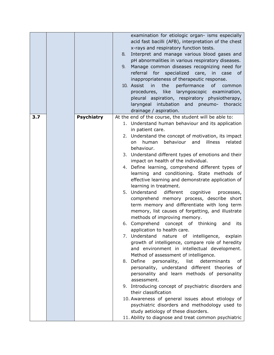|     |                   | examination for etiologic organ- isms especially<br>acid fast bacilli (AFB), interpretation of the chest<br>x-rays and respiratory function tests.<br>Interpret and manage various blood gases and<br>8.<br>pH abnormalities in various respiratory diseases.<br>Manage common diseases recognizing need for<br>9.<br>for<br>referral<br>specialized<br>care, in<br>case<br>0f<br>inappropriateness of therapeutic response.<br>10. Assist<br>performance<br>in<br>the<br>0f<br>common<br>like laryngoscopic examination,<br>procedures,<br>pleural aspiration, respiratory physiotherapy,<br>intubation<br>and<br>pneumo-<br>laryngeal<br>thoracic<br>drainage / aspiration. |
|-----|-------------------|-------------------------------------------------------------------------------------------------------------------------------------------------------------------------------------------------------------------------------------------------------------------------------------------------------------------------------------------------------------------------------------------------------------------------------------------------------------------------------------------------------------------------------------------------------------------------------------------------------------------------------------------------------------------------------|
| 3.7 | <b>Psychiatry</b> | At the end of the course, the student will be able to:                                                                                                                                                                                                                                                                                                                                                                                                                                                                                                                                                                                                                        |
|     |                   | 1. Understand human behaviour and its application<br>in patient care.                                                                                                                                                                                                                                                                                                                                                                                                                                                                                                                                                                                                         |
|     |                   | 2. Understand the concept of motivation, its impact                                                                                                                                                                                                                                                                                                                                                                                                                                                                                                                                                                                                                           |
|     |                   | behaviour and<br>illness<br>human<br>related<br>on                                                                                                                                                                                                                                                                                                                                                                                                                                                                                                                                                                                                                            |
|     |                   | behaviour.<br>3. Understand different types of emotions and their                                                                                                                                                                                                                                                                                                                                                                                                                                                                                                                                                                                                             |
|     |                   | impact on health of the individual.                                                                                                                                                                                                                                                                                                                                                                                                                                                                                                                                                                                                                                           |
|     |                   | 4. Define learning, comprehend different types of                                                                                                                                                                                                                                                                                                                                                                                                                                                                                                                                                                                                                             |
|     |                   | learning and conditioning. State methods of<br>effective learning and demonstrate application of                                                                                                                                                                                                                                                                                                                                                                                                                                                                                                                                                                              |
|     |                   | learning in treatment.                                                                                                                                                                                                                                                                                                                                                                                                                                                                                                                                                                                                                                                        |
|     |                   | 5. Understand<br>different<br>cognitive<br>processes,                                                                                                                                                                                                                                                                                                                                                                                                                                                                                                                                                                                                                         |
|     |                   | comprehend memory process, describe short                                                                                                                                                                                                                                                                                                                                                                                                                                                                                                                                                                                                                                     |
|     |                   | term memory and differentiate with long term<br>memory, list causes of forgetting, and illustrate                                                                                                                                                                                                                                                                                                                                                                                                                                                                                                                                                                             |
|     |                   | methods of improving memory.                                                                                                                                                                                                                                                                                                                                                                                                                                                                                                                                                                                                                                                  |
|     |                   | 6. Comprehend concept of thinking<br>and<br>its                                                                                                                                                                                                                                                                                                                                                                                                                                                                                                                                                                                                                               |
|     |                   | application to health care.<br>7. Understand nature of intelligence, explain                                                                                                                                                                                                                                                                                                                                                                                                                                                                                                                                                                                                  |
|     |                   | growth of intelligence, compare role of heredity                                                                                                                                                                                                                                                                                                                                                                                                                                                                                                                                                                                                                              |
|     |                   | and environment in intellectual development.                                                                                                                                                                                                                                                                                                                                                                                                                                                                                                                                                                                                                                  |
|     |                   | Method of assessment of intelligence.                                                                                                                                                                                                                                                                                                                                                                                                                                                                                                                                                                                                                                         |
|     |                   | 8. Define<br>personality,<br>list<br>determinants<br>of<br>personality, understand different theories of                                                                                                                                                                                                                                                                                                                                                                                                                                                                                                                                                                      |
|     |                   | personality and learn methods of personality                                                                                                                                                                                                                                                                                                                                                                                                                                                                                                                                                                                                                                  |
|     |                   | assessment.                                                                                                                                                                                                                                                                                                                                                                                                                                                                                                                                                                                                                                                                   |
|     |                   | 9. Introducing concept of psychiatric disorders and                                                                                                                                                                                                                                                                                                                                                                                                                                                                                                                                                                                                                           |
|     |                   | their classification<br>10. Awareness of general issues about etiology of                                                                                                                                                                                                                                                                                                                                                                                                                                                                                                                                                                                                     |
|     |                   | psychiatric disorders and methodology used to                                                                                                                                                                                                                                                                                                                                                                                                                                                                                                                                                                                                                                 |
|     |                   | study aetiology of these disorders.                                                                                                                                                                                                                                                                                                                                                                                                                                                                                                                                                                                                                                           |
|     |                   | 11. Ability to diagnose and treat common psychiatric                                                                                                                                                                                                                                                                                                                                                                                                                                                                                                                                                                                                                          |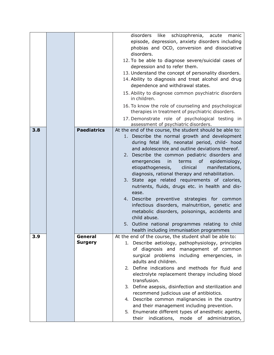|     |                    | disorders<br>like schizophrenia, acute<br>manic                                                          |
|-----|--------------------|----------------------------------------------------------------------------------------------------------|
|     |                    | episode, depression, anxiety disorders including                                                         |
|     |                    | phobias and OCD, conversion and dissociative                                                             |
|     |                    | disorders.                                                                                               |
|     |                    | 12. To be able to diagnose severe/suicidal cases of                                                      |
|     |                    | depression and to refer them.                                                                            |
|     |                    | 13. Understand the concept of personality disorders.                                                     |
|     |                    | 14. Ability to diagnosis and treat alcohol and drug                                                      |
|     |                    | dependence and withdrawal states.                                                                        |
|     |                    |                                                                                                          |
|     |                    | 15. Ability to diagnose common psychiatric disorders<br>in children.                                     |
|     |                    | 16. To know the role of counseling and psychological<br>therapies in treatment of psychiatric disorders. |
|     |                    | 17. Demonstrate role of psychological testing in<br>assessment of psychiatric disorders.                 |
| 3.8 | <b>Paediatrics</b> | At the end of the course, the student should be able to:                                                 |
|     |                    | 1. Describe the normal growth and development                                                            |
|     |                    | during fetal life, neonatal period, child- hood                                                          |
|     |                    | and adolescence and outline deviations thereof.                                                          |
|     |                    | 2. Describe the common pediatric disorders and                                                           |
|     |                    | emergencies<br>terms<br>of<br>epidemiology,<br>in                                                        |
|     |                    | etiopathogenesis,<br>clinical<br>manifestations,                                                         |
|     |                    | diagnosis, rational therapy and rehabilitation.                                                          |
|     |                    | 3. State age related requirements of calories,                                                           |
|     |                    | nutrients, fluids, drugs etc. in health and dis-                                                         |
|     |                    | ease.                                                                                                    |
|     |                    | 4. Describe preventive strategies for common                                                             |
|     |                    | infectious disorders, malnutrition, genetic and                                                          |
|     |                    | metabolic disorders, poisonings, accidents and                                                           |
|     |                    | child abuse.                                                                                             |
|     |                    | 5. Outline national programmes relating to child                                                         |
|     |                    | health including immunisation programmes                                                                 |
| 3.9 | General            | At the end of the course, the student shall be able to:                                                  |
|     | <b>Surgery</b>     | 1. Describe aetiology, pathophysiology, principles                                                       |
|     |                    | of diagnosis and management of common                                                                    |
|     |                    | surgical problems including emergencies, in                                                              |
|     |                    | adults and children.                                                                                     |
|     |                    | 2. Define indications and methods for fluid and                                                          |
|     |                    | electrolyte replacement therapy including blood                                                          |
|     |                    | transfusion.                                                                                             |
|     |                    | 3. Define asepsis, disinfection and sterilization and                                                    |
|     |                    | recommend judicious use of antibiotics.                                                                  |
|     |                    | 4. Describe common malignancies in the country                                                           |
|     |                    | and their management including prevention.                                                               |
|     |                    | Enumerate different types of anesthetic agents,<br>5.                                                    |
|     |                    | their<br>indications, mode of administration,                                                            |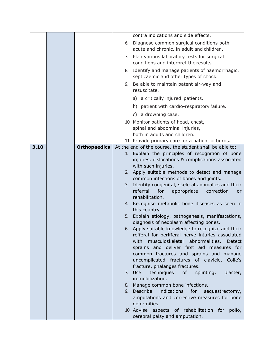|      |                     |                | contra indications and side effects.                                                                    |
|------|---------------------|----------------|---------------------------------------------------------------------------------------------------------|
|      |                     | 6.             | Diagnose common surgical conditions both<br>acute and chronic, in adult and children.                   |
|      |                     | 7.             | Plan various laboratory tests for surgical<br>conditions and interpret the results.                     |
|      |                     | 8.             | Identify and manage patients of haemorrhagic,<br>septicaemic and other types of shock.                  |
|      |                     |                | 9. Be able to maintain patent air-way and<br>resuscitate.                                               |
|      |                     |                | a) a critically injured patients.                                                                       |
|      |                     |                | b) patient with cardio-respiratory failure.                                                             |
|      |                     |                | c) a drowning case.                                                                                     |
|      |                     |                | 10. Monitor patients of head, chest,                                                                    |
|      |                     |                | spinal and abdominal injuries,                                                                          |
|      |                     |                | both in adults and children.                                                                            |
|      |                     |                | 11. Provide primary care for a patient of burns.                                                        |
| 3.10 | <b>Orthopaedics</b> |                | At the end of the course, the student shall be able to:                                                 |
|      |                     |                | 1. Explain the principles of recognition of bone<br>injuries, dislocations & complications associated   |
|      |                     |                | with such injuries.                                                                                     |
|      |                     | 2 <sub>1</sub> | Apply suitable methods to detect and manage                                                             |
|      |                     |                | common infections of bones and joints.                                                                  |
|      |                     | 3.             | Identify congenital, skeletal anomalies and their                                                       |
|      |                     |                | referral<br>for<br>appropriate<br>correction<br><b>or</b><br>rehabilitation.                            |
|      |                     |                | 4. Recognise metabolic bone diseases as seen in                                                         |
|      |                     |                | this country.                                                                                           |
|      |                     | 5.             | Explain etiology, pathogenesis, manifestations,                                                         |
|      |                     |                | diagnosis of neoplasm affecting bones.                                                                  |
|      |                     |                | 6. Apply suitable knowledge to recognize and their<br>refferal for perifferal nerve injuries associated |
|      |                     |                | musculoskeletal abnormalities.<br>with<br><b>Detect</b>                                                 |
|      |                     |                | sprains and deliver first aid measures for                                                              |
|      |                     |                | common fractures and sprains and manage                                                                 |
|      |                     |                | uncomplicated fractures of clavicle, Colle's                                                            |
|      |                     |                | fracture, phalanges fractures.                                                                          |
|      |                     | 7.             | Use<br>techniques<br>of<br>splinting,<br>plaster,<br>immobilization.                                    |
|      |                     | 8.             | Manage common bone infections.                                                                          |
|      |                     | 9.             | Describe<br>indications<br>for<br>sequestrectomy,                                                       |
|      |                     |                | amputations and corrective measures for bone<br>deformities.                                            |
|      |                     |                | 10. Advise aspects of rehabilitation for<br>polio,                                                      |
|      |                     |                | cerebral palsy and amputation.                                                                          |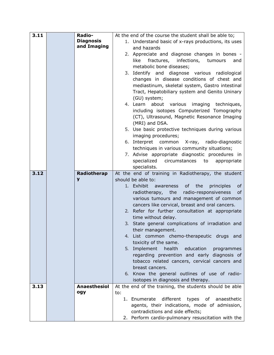| 3.11 | Radio-              | At the end of the course the student shall be able to;                                 |
|------|---------------------|----------------------------------------------------------------------------------------|
|      | <b>Diagnosis</b>    | 1. Understand basic of x-rays productions, its uses                                    |
|      | and Imaging         | and hazards                                                                            |
|      |                     | 2. Appreciate and diagnose changes in bones -                                          |
|      |                     | fractures, infections, tumours<br>like<br>and                                          |
|      |                     | metabolic bone diseases;                                                               |
|      |                     | 3. Identify and diagnose various radiological                                          |
|      |                     | changes in disease conditions of chest and                                             |
|      |                     | mediastinum, skeletal system, Gastro intestinal                                        |
|      |                     |                                                                                        |
|      |                     | Tract, Hepatobiliary system and Genito Uninary                                         |
|      |                     | (GU) system;                                                                           |
|      |                     | 4. Learn about various imaging techniques,                                             |
|      |                     | including isotopes Computerized Tomography                                             |
|      |                     | (CT), Ultrasound, Magnetic Resonance Imaging                                           |
|      |                     | (MRI) and DSA.                                                                         |
|      |                     | 5. Use basic protective techniques during various                                      |
|      |                     | imaging procedures;                                                                    |
|      |                     | 6. Interpret common X-ray, radio-diagnostic                                            |
|      |                     | techniques in various community situations;                                            |
|      |                     | 7. Advise appropriate diagnostic procedures in                                         |
|      |                     | specialized<br>circumstances<br>to<br>appropriate                                      |
|      |                     | specialists.                                                                           |
| 3.12 | Radiotherap         | At the end of training in Radiotherapy, the student                                    |
|      | y                   | should be able to:                                                                     |
|      |                     | 1. Exhibit<br>awareness<br>of<br>the<br>principles<br>0f                               |
|      |                     | of<br>radiotherapy, the<br>radio-responsiveness                                        |
|      |                     | various tumours and management of common                                               |
|      |                     | cancers like cervical, breast and oral cancers.                                        |
|      |                     | 2. Refer for further consultation at appropriate                                       |
|      |                     |                                                                                        |
|      |                     | time without delay.                                                                    |
|      |                     | 3. State general complications of irradiation and                                      |
|      |                     | their management.                                                                      |
|      |                     | 4. List common chemo-therapeutic drugs and                                             |
|      |                     | toxicity of the same.                                                                  |
|      |                     | 5. Implement<br>health<br>education<br>programmes                                      |
|      |                     | regarding prevention and early diagnosis of                                            |
|      |                     | tobacco related cancers, cervical cancers and                                          |
|      |                     | breast cancers.                                                                        |
|      |                     | 6. Know the general outlines of use of radio-                                          |
|      |                     | isotopes in diagnosis and therapy.                                                     |
| 3.13 | <b>Anaesthesiol</b> | At the end of the training, the students should be able                                |
|      | ogy                 | to:                                                                                    |
|      |                     | 1. Enumerate<br>different<br>types of anaesthetic                                      |
|      |                     | agents, their indications, mode of admission,                                          |
|      |                     | contradictions and side effects;<br>2. Perform cardio-pulmonary resuscitation with the |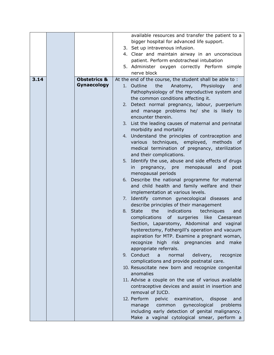|      |                         | available resources and transfer the patient to a       |
|------|-------------------------|---------------------------------------------------------|
|      |                         | bigger hospital for advanced life support.              |
|      |                         | 3. Set up intravenous infusion.                         |
|      |                         | 4. Clear and maintain airway in an unconscious          |
|      |                         | patient. Perform endotracheal intubation                |
|      |                         | 5. Administer oxygen correctly Perform simple           |
|      |                         | nerve block                                             |
| 3.14 | <b>Obstetrics &amp;</b> | At the end of the course, the student shall be able to: |
|      | Gynaecology             | 1. Outline<br>the<br>Anatomy,<br>Physiology<br>and      |
|      |                         | Pathophysiology of the reproductive system and          |
|      |                         | the common conditions affecting it.                     |
|      |                         | 2. Detect normal pregnancy, labour, puerperium          |
|      |                         | and manage problems he/ she is likely to                |
|      |                         | encounter therein.                                      |
|      |                         | 3. List the leading causes of maternal and perinatal    |
|      |                         | morbidity and mortality                                 |
|      |                         | 4. Understand the principles of contraception and       |
|      |                         | various techniques, employed, methods of                |
|      |                         | medical termination of pregnancy, sterilization         |
|      |                         | and their complications.                                |
|      |                         | 5. Identify the use, abuse and side effects of drugs    |
|      |                         | menopausal<br>in<br>pregnancy, pre<br>and<br>post       |
|      |                         | menopausal periods                                      |
|      |                         | 6. Describe the national programme for maternal         |
|      |                         | and child health and family welfare and their           |
|      |                         | implementation at various levels.                       |
|      |                         | 7. Identify common gynecological diseases and           |
|      |                         | describe principles of their management                 |
|      |                         | 8. State<br>the<br>indications<br>techniques<br>and     |
|      |                         | complications of surgeries<br>like Caesarean            |
|      |                         | Section, Laparotomy, Abdominal and vaginal              |
|      |                         | hysterectomy, Fothergill's operation and vacuum         |
|      |                         | aspiration for MTP. Examine a pregnant woman,           |
|      |                         | high risk pregnancies and<br>recognize<br>make          |
|      |                         | appropriate referrals.                                  |
|      |                         | 9. Conduct<br>normal<br>delivery,<br>recognize<br>a     |
|      |                         | complications and provide postnatal care.               |
|      |                         | 10. Resuscitate new born and recognize congenital       |
|      |                         | anomalies                                               |
|      |                         | 11. Advise a couple on the use of various available     |
|      |                         | contraceptive devices and assist in insertion and       |
|      |                         | removal of IUCD.                                        |
|      |                         | 12. Perform<br>pelvic<br>examination,<br>dispose<br>and |
|      |                         | gynecological<br>problems<br>common<br>manage           |
|      |                         | including early detection of genital malignancy.        |
|      |                         | Make a vaginal cytological smear, perform a             |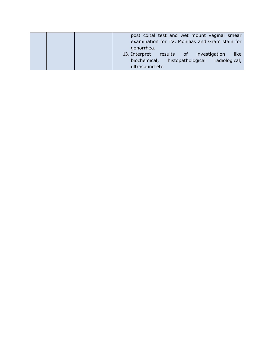|  | post coital test and wet mount vaginal smear    |
|--|-------------------------------------------------|
|  | examination for TV, Monilias and Gram stain for |
|  | gonorrhea.                                      |
|  | like<br>13. Interpret results of investigation  |
|  | biochemical, histopathological<br>radiological, |
|  | ultrasound etc.                                 |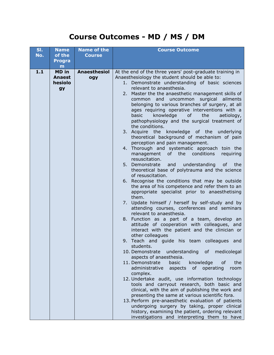### **Course Outcomes - MD / MS / DM**

| SI.   | <b>Name</b>   | <b>Name of the</b> | <b>Course Outcome</b>                                                                              |  |
|-------|---------------|--------------------|----------------------------------------------------------------------------------------------------|--|
| No.   | of the        | <b>Course</b>      |                                                                                                    |  |
|       | <b>Progra</b> |                    |                                                                                                    |  |
|       | m             |                    |                                                                                                    |  |
| $1.1$ | MD in         | Anaesthesiol       | At the end of the three years' post-graduate training in                                           |  |
|       | <b>Anaest</b> | ogy                | Anaesthesiology the student should be able to:                                                     |  |
|       | hesiolo       |                    | 1. Demonstrate understanding of basic sciences                                                     |  |
|       | gy            |                    | relevant to anaesthesia.                                                                           |  |
|       |               |                    | 2. Master the the anaesthetic management skills of                                                 |  |
|       |               |                    | uncommon surgical ailments<br>common and                                                           |  |
|       |               |                    | belonging to various branches of surgery, at all                                                   |  |
|       |               |                    | ages requiring operative interventions with a<br>knowledge<br>of<br>the<br>basic<br>aetiology,     |  |
|       |               |                    | pathophysiology and the surgical treatment of                                                      |  |
|       |               |                    | the conditions.                                                                                    |  |
|       |               |                    | 3. Acquire the knowledge of the underlying                                                         |  |
|       |               |                    | theoretical background of mechanism of pain                                                        |  |
|       |               |                    | perception and pain management.                                                                    |  |
|       |               |                    | 4. Thorough and systematic approach toin the                                                       |  |
|       |               |                    | management<br>of the<br>conditions<br>requiring                                                    |  |
|       |               |                    | resuscitation.                                                                                     |  |
|       |               |                    | 5. Demonstrate<br>understanding<br>and<br>0f<br>the                                                |  |
|       |               |                    | theoretical base of polytrauma and the science                                                     |  |
|       |               |                    | of resuscitation.                                                                                  |  |
|       |               |                    | 6. Recognise the conditions that may be outside<br>the area of his competence and refer them to an |  |
|       |               |                    | appropriate specialist prior to anaesthetising                                                     |  |
|       |               |                    | them.                                                                                              |  |
|       |               |                    | 7. Update himself / herself by self-study and by                                                   |  |
|       |               |                    | attending courses, conferences and seminars                                                        |  |
|       |               |                    | relevant to anaesthesia.                                                                           |  |
|       |               |                    | 8. Function as a part of a team, develop an                                                        |  |
|       |               |                    | attitude of cooperation with colleagues, and                                                       |  |
|       |               |                    | interact with the patient and the clinician or<br>other colleagues                                 |  |
|       |               |                    | 9. Teach and guide his team colleagues and                                                         |  |
|       |               |                    | students.                                                                                          |  |
|       |               |                    | understanding of medicolegal<br>10. Demonstrate                                                    |  |
|       |               |                    | aspects of anaesthesia.                                                                            |  |
|       |               |                    | 11. Demonstrate<br>knowledge<br>basic<br>the<br>0f                                                 |  |
|       |               |                    | administrative<br>aspects<br>of operating<br>room                                                  |  |
|       |               |                    | complex.                                                                                           |  |
|       |               |                    | 12. Undertake audit, use information technology                                                    |  |
|       |               |                    | tools and carryout research, both basic and<br>clinical, with the aim of publishing the work and   |  |
|       |               |                    | presenting the same at various scientific fora.                                                    |  |
|       |               |                    | 13. Perform pre-anaesthetic evaluation of patients                                                 |  |
|       |               |                    | undergoing surgery by taking, proper clinical                                                      |  |
|       |               |                    | history, examining the patient, ordering relevant                                                  |  |
|       |               |                    | investigations and interpreting them to have                                                       |  |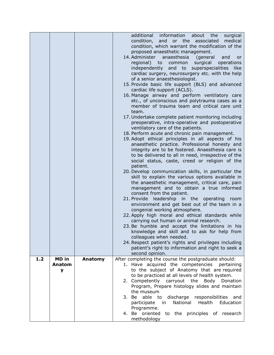|     |        |         | additional information about the<br>surgical<br>condition, and or the associated<br>medical<br>condition, which warrant the modification of the<br>proposed anaesthetic management.<br>14. Administer anaesthesia<br>(general<br>and<br><b>or</b><br>regional)<br>to<br>surgical<br>operations<br>common<br>independently and to superspecialities like<br>cardiac surgery, neurosurgery etc. with the help<br>of a senior anaesthesiologist.<br>15. Provide basic life support (BLS) and advanced<br>cardiac life support (ACLS). |
|-----|--------|---------|------------------------------------------------------------------------------------------------------------------------------------------------------------------------------------------------------------------------------------------------------------------------------------------------------------------------------------------------------------------------------------------------------------------------------------------------------------------------------------------------------------------------------------|
|     |        |         | 16. Manage airway and perform ventilatory care<br>etc., of unconscious and polytrauma cases as a<br>member of trauma team and critical care unit<br>team.                                                                                                                                                                                                                                                                                                                                                                          |
|     |        |         | 17. Undertake complete patient monitoring including<br>preoperative, intra-operative and postoperative<br>ventilatory care of the patients.                                                                                                                                                                                                                                                                                                                                                                                        |
|     |        |         | 18. Perform acute and chronic pain management.<br>19. Adopt ethical principles in all aspects of his<br>anaesthetic practice. Professional honesty and<br>integrity are to be fostered. Anaesthesia care is<br>to be delivered to all in need, irrespective of the<br>social status, caste, creed or religion of the                                                                                                                                                                                                               |
|     |        |         | patient.<br>20. Develop communication skills, in particular the<br>skill to explain the various options available in<br>the anaesthetic management, critical care, pain<br>management and to obtain a true informed<br>consent from the patient.                                                                                                                                                                                                                                                                                   |
|     |        |         | 21. Provide leadership in the operating<br>room<br>environment and get best out of the team in a<br>congenial working atmosphere.                                                                                                                                                                                                                                                                                                                                                                                                  |
|     |        |         | 22. Apply high moral and ethical standards while<br>carrying out human or animal research.<br>23. Be humble and accept the limitations in his                                                                                                                                                                                                                                                                                                                                                                                      |
|     |        |         | knowledge and skill and to ask for help from<br>colleagues when needed.<br>24. Respect patient's rights and privileges including<br>patient's right to information and right to seek a                                                                                                                                                                                                                                                                                                                                             |
| 1.2 | MD in  | Anatomy | second opinion.<br>After completing the course the postgraduate should:                                                                                                                                                                                                                                                                                                                                                                                                                                                            |
|     | Anatom |         | 1. Have acquired the competencies pertaining                                                                                                                                                                                                                                                                                                                                                                                                                                                                                       |
|     | У      |         | to the subject of Anatomy that are required<br>to be practiced at all levels of health system.                                                                                                                                                                                                                                                                                                                                                                                                                                     |
|     |        |         | 2. Competently carryout the Body Donation<br>Program, Prepare histology slides and maintain                                                                                                                                                                                                                                                                                                                                                                                                                                        |
|     |        |         | the museum                                                                                                                                                                                                                                                                                                                                                                                                                                                                                                                         |
|     |        |         | 3. Be able to<br>discharge responsibilities and<br>National<br>Health<br>Education<br>participate<br>in<br>Programme.                                                                                                                                                                                                                                                                                                                                                                                                              |
|     |        |         | 4. Be oriented to the principles of research<br>methodology                                                                                                                                                                                                                                                                                                                                                                                                                                                                        |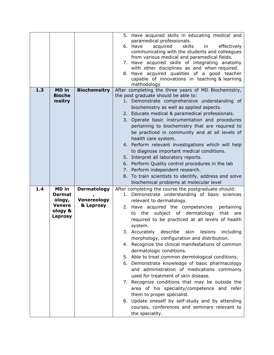|     |                |                     | 5. Have acquired skills in educating medical and                                                  |
|-----|----------------|---------------------|---------------------------------------------------------------------------------------------------|
|     |                |                     | paramedical professionals.                                                                        |
|     |                |                     | 6. Have<br>effectively<br>acquired<br>skills<br>in                                                |
|     |                |                     | communicating with the students and colleagues                                                    |
|     |                |                     | from various medical and paramedical fields.                                                      |
|     |                |                     | 7. Have acquired skills of integrating anatomy                                                    |
|     |                |                     | with other disciplines as and when required.                                                      |
|     |                |                     | 8. Have acquired qualities of a good teacher                                                      |
|     |                |                     | capable of innovations in teaching & learning                                                     |
| 1.3 | <b>MD</b> in   | <b>Biochemsitry</b> | methodology<br>After completing the three years of MD Biochemistry,                               |
|     | <b>Bioche</b>  |                     | the post graduate should be able to:                                                              |
|     | msitry         |                     | 1. Demonstrate comprehensive understanding of                                                     |
|     |                |                     | biochemistry as well as applied aspects.                                                          |
|     |                |                     | 2. Educate medical & paramedical professionals.                                                   |
|     |                |                     | 3. Operate basic instrumentation and procedures                                                   |
|     |                |                     | pertaining to biochemistry that are required to                                                   |
|     |                |                     | be practiced in community and at all levels of                                                    |
|     |                |                     |                                                                                                   |
|     |                |                     | health care system.                                                                               |
|     |                |                     | 4. Perform relevant investigations which will help                                                |
|     |                |                     | to diagnose important medical conditions.                                                         |
|     |                |                     | 5. Interpret all laboratory reports.                                                              |
|     |                |                     | 6. Perform Quality control procedures in the lab                                                  |
|     |                |                     | 7. Perform independent research.                                                                  |
|     |                |                     |                                                                                                   |
|     |                |                     | 8. To train scientists to identify, address and solve                                             |
|     |                |                     | biochemical problems at molecular level                                                           |
| 1.4 | MD in          | Dermatology         | After completing the course the postgraduate should:                                              |
|     | <b>Dermat</b>  |                     | 1. Demonstrate understanding of basic sciences                                                    |
|     | ology,         | <b>Venereology</b>  | relevant to dermatology.                                                                          |
|     | <b>Venere</b>  | & Leprosy           | 2. Have acquired the competencies<br>pertaining                                                   |
|     | ology &        |                     | the subject of dermatology that<br>to<br>are                                                      |
|     | <b>Leprosy</b> |                     | required to be practiced at all levels of health                                                  |
|     |                |                     | system.                                                                                           |
|     |                |                     | 3. Accurately describe skin lesions including                                                     |
|     |                |                     | morphology, configuration and distribution.                                                       |
|     |                |                     | 4. Recognize the clinical manifestations of common                                                |
|     |                |                     | dermatologic conditions.                                                                          |
|     |                |                     | 5. Able to treat common dermtological conditions.                                                 |
|     |                |                     | 6. Demonstrate knowledge of basic pharmacology                                                    |
|     |                |                     | and administration of medications commonly                                                        |
|     |                |                     | used for treatment of skin disease.                                                               |
|     |                |                     | 7. Recognize conditions that may be outside the                                                   |
|     |                |                     | area of his speciality/competence and refer                                                       |
|     |                |                     | them to proper specialist.                                                                        |
|     |                |                     |                                                                                                   |
|     |                |                     | 8. Update oneself by self-study and by attending<br>courses, conferences and seminars relevant to |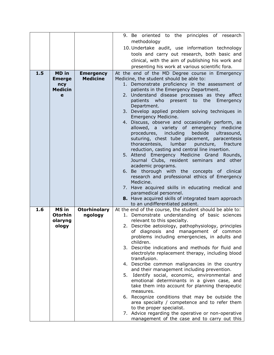|     |                |                     | 9. Be oriented to the principles of research                                                   |
|-----|----------------|---------------------|------------------------------------------------------------------------------------------------|
|     |                |                     | methodology                                                                                    |
|     |                |                     | 10. Undertake audit, use information technology                                                |
|     |                |                     | tools and carry out research, both basic and                                                   |
|     |                |                     | clinical, with the aim of publishing his work and                                              |
|     |                |                     | presenting his work at various scientific fora.                                                |
| 1.5 | <b>MD</b> in   | <b>Emergency</b>    | At the end of the MD Degree course in Emergency                                                |
|     | <b>Emerge</b>  | <b>Medicine</b>     | Medicine, the student should be able to:                                                       |
|     | ncy            |                     | 1. Demonstrate proficiency in the assessment of                                                |
|     | <b>Medicin</b> |                     | patients in the Emergency Department.                                                          |
|     | e              |                     | 2. Understand disease processes as they affect                                                 |
|     |                |                     | patients who<br>present to the<br>Emergency                                                    |
|     |                |                     | Department.<br>3. Develop applied problem solving techniques in                                |
|     |                |                     | Emergency Medicine.                                                                            |
|     |                |                     | 4. Discuss, observe and occasionally perform, as                                               |
|     |                |                     | allowed, a variety of emergency medicine                                                       |
|     |                |                     | procedures, including<br>bedside<br>ultrasound,                                                |
|     |                |                     | suturing, chest tube placement, paracentesis                                                   |
|     |                |                     | thoracentesis, lumbar puncture,<br>fracture                                                    |
|     |                |                     | reduction, casting and central line insertion.<br>5. Attend Emergency Medicine Grand Rounds,   |
|     |                |                     | Journal Clubs, resident seminars and other                                                     |
|     |                |                     | academic programs.                                                                             |
|     |                |                     | 6. Be thorough with the concepts of clinical                                                   |
|     |                |                     | research and professional ethics of Emergency                                                  |
|     |                |                     | Medicine.                                                                                      |
|     |                |                     | 7. Have acquired skills in educating medical and                                               |
|     |                |                     | paramedical personnel.                                                                         |
|     |                |                     | 8. Have acquired skills of integrated team approach<br>to an undifferentiated patient.         |
| 1.6 | MS in          | <b>Otorhinolary</b> | At the end of the course, the student should be able to:                                       |
|     | <b>Otorhin</b> | ngology             | 1. Demonstrate understanding of basic sciences                                                 |
|     | olaryng        |                     | relevant to this specialty.                                                                    |
|     | ology          |                     | 2. Describe aetoiology, pathophysiology, principles                                            |
|     |                |                     | of diagnosis and management of common                                                          |
|     |                |                     | problems including emergencies, in adults and<br>children.                                     |
|     |                |                     | 3. Describe indications and methods for fluid and                                              |
|     |                |                     | electrolyte replacement therapy, including blood                                               |
|     |                |                     | transfusion.                                                                                   |
|     |                |                     | 4. Describe common malignancies in the country                                                 |
|     |                |                     | and their management including prevention.                                                     |
|     |                |                     | Identify social, economic, environmental and<br>5.                                             |
|     |                |                     | emotional determinants in a given case, and<br>take them into account for planning therapeutic |
|     |                |                     | measures.                                                                                      |
|     |                |                     | 6. Recognize conditions that may be outside the                                                |
|     |                |                     | area specialty / competence and to refer them                                                  |
|     |                |                     | to the proper specialist.                                                                      |
|     |                |                     | 7. Advice regarding the operative or non-operative                                             |
|     |                |                     | management of the case and to carry out this                                                   |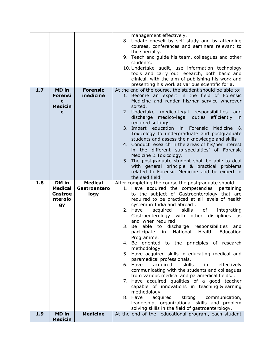|     |                                |                                       | leadership, organizational skills and problem<br>solving skills in the field of gastroenterology.        |
|-----|--------------------------------|---------------------------------------|----------------------------------------------------------------------------------------------------------|
|     |                                |                                       |                                                                                                          |
|     |                                |                                       | 8. Have<br>acquired<br>strong communication,                                                             |
|     |                                |                                       | methodology                                                                                              |
|     |                                |                                       | 7. Have acquired qualities of a good teacher<br>capable of innovations in teaching &learning             |
|     |                                |                                       | from various medical and paramedical fields                                                              |
|     |                                |                                       | 6. Have<br>acquired<br>skills<br>in<br>effectively<br>communicating with the students and colleagues     |
|     |                                |                                       | paramedical professionals.                                                                               |
|     |                                |                                       | methodology<br>5. Have acquired skills in educating medical and                                          |
|     |                                |                                       | 4. Be oriented to the principles of research                                                             |
|     |                                |                                       | participate in National Health Education<br>Programme.                                                   |
|     |                                |                                       | able to discharge responsibilities<br>3. Be<br>and                                                       |
|     |                                |                                       | Gastroenterology with other disciplines as<br>and when required                                          |
|     |                                |                                       | 2. Have<br>acquired<br>skills<br>of<br>integrating                                                       |
|     | nterolo<br>gy                  |                                       | required to be practiced at all levels of health<br>system in India and abroad.                          |
|     | <b>Gastroe</b>                 | logy                                  | to the subject of Gastroenterology that are                                                              |
| 1.8 | DM in<br><b>Medical</b>        | <b>Medical</b><br><b>Gastroentero</b> | After completing the course the postgraduate should:<br>1. Have acquired the competencies pertaining     |
|     |                                |                                       | the said field.                                                                                          |
|     |                                |                                       | with general principle & practical problems<br>related to Forensic Medicine and be expert in             |
|     |                                |                                       | 5. The postgraduate student shall be able to deal                                                        |
|     |                                |                                       | Medicine & Toxicology.                                                                                   |
|     |                                |                                       | 4. Conduct research in the areas of his/her interest<br>in the different sub-specialties' of Forensic    |
|     |                                |                                       | students and assess their knowledge and skills                                                           |
|     |                                |                                       | 3. Impart education<br>in Forensic<br>Medicine<br>- &<br>Toxicology to undergraduate and postgraduate    |
|     |                                |                                       | required settings.                                                                                       |
|     |                                |                                       | discharge medico-legal duties efficiently in                                                             |
|     | <b>Medicin</b><br>e            |                                       | sorted.<br>2. Undertake medico-legal responsibilities<br>and                                             |
|     | C                              |                                       | Medicine and render his/her service wherever                                                             |
| 1.7 | <b>MD</b> in<br><b>Forensi</b> | <b>Forensic</b><br>medicine           | At the end of the course, the student should be able to:<br>1. Become an expert in the field of Forensic |
|     |                                |                                       | presenting his work at various scientific for a.                                                         |
|     |                                |                                       | clinical, with the aim of publishing his work and                                                        |
|     |                                |                                       | 10. Undertake audit, use information technology<br>tools and carry out research, both basic and          |
|     |                                |                                       | students.                                                                                                |
|     |                                |                                       | the specialty.<br>9. Teach and guide his team, colleagues and other                                      |
|     |                                |                                       | courses, conferences and seminars relevant to                                                            |
|     |                                |                                       | management effectively.<br>8. Update oneself by self study and by attending                              |
|     |                                |                                       |                                                                                                          |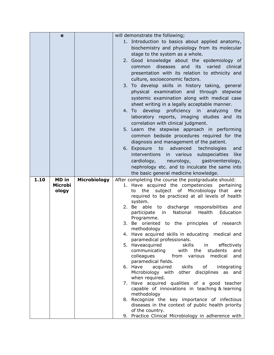|      | e                       |                     | will demonstrate the following;                                                                     |  |  |
|------|-------------------------|---------------------|-----------------------------------------------------------------------------------------------------|--|--|
|      |                         |                     | 1. Introduction to basics about applied anatomy,                                                    |  |  |
|      |                         |                     | biochemistry and physiology from its molecular                                                      |  |  |
|      |                         |                     | stage to the system as a whole.                                                                     |  |  |
|      |                         |                     | 2. Good knowledge about the epidemiology of                                                         |  |  |
|      |                         |                     | diseases<br>and<br>its<br>varied<br>common<br>clinical                                              |  |  |
|      |                         |                     |                                                                                                     |  |  |
|      |                         |                     | presentation with its relation to ethnicity and                                                     |  |  |
|      |                         |                     | culture, socioeconomic factors.                                                                     |  |  |
|      |                         |                     | 3. To develop skills in history taking, general                                                     |  |  |
|      |                         |                     | physical examination and through stepwise                                                           |  |  |
|      |                         |                     | systemic examination along with medical case                                                        |  |  |
|      |                         |                     | sheet writing in a legally acceptable manner.                                                       |  |  |
|      |                         |                     | 4. To develop<br>proficiency in<br>analyzing<br>the                                                 |  |  |
|      |                         |                     | laboratory reports, imaging studies and its                                                         |  |  |
|      |                         |                     | correlation with clinical judgment.                                                                 |  |  |
|      |                         |                     | 5. Learn the stepwise approach in performing                                                        |  |  |
|      |                         |                     | common bedside procedures required for the                                                          |  |  |
|      |                         |                     | diagnosis and management of the patient.                                                            |  |  |
|      |                         |                     | advanced<br>technologies<br>6. Exposure<br>to<br>and                                                |  |  |
|      |                         |                     | like<br>interventions in various<br>subspecialties                                                  |  |  |
|      |                         |                     | gastroenterology,<br>cardiology,<br>neurology,                                                      |  |  |
|      |                         |                     | nephrology etc. and to inculcate the same into                                                      |  |  |
|      |                         |                     | the basic general medicine knowledge.                                                               |  |  |
|      |                         |                     |                                                                                                     |  |  |
|      |                         |                     |                                                                                                     |  |  |
| 1.10 | <b>MD</b> in<br>Microbi | <b>Microbiology</b> | After completing the course the postgraduate should:                                                |  |  |
|      | ology                   |                     | 1. Have acquired the competencies<br>pertaining<br>subject of Microbiology that<br>the<br>are<br>to |  |  |
|      |                         |                     | required to be practiced at all levels of health                                                    |  |  |
|      |                         |                     | system.                                                                                             |  |  |
|      |                         |                     | discharge responsibilities<br>2. Be able to<br>and                                                  |  |  |
|      |                         |                     | National<br>Health<br>Education<br>participate<br>in                                                |  |  |
|      |                         |                     | Programme.                                                                                          |  |  |
|      |                         |                     | to the principles of research<br>3. Be oriented                                                     |  |  |
|      |                         |                     | methodology                                                                                         |  |  |
|      |                         |                     | 4. Have acquired skills in educating medical and<br>paramedical professionals.                      |  |  |
|      |                         |                     | 5. Haveacquired<br>skills<br>effectively<br>in                                                      |  |  |
|      |                         |                     | communicating<br>with<br>the<br>students<br>and                                                     |  |  |
|      |                         |                     | colleagues<br>from various<br>medical<br>and                                                        |  |  |
|      |                         |                     | paramedical fields.                                                                                 |  |  |
|      |                         |                     | 6. Have<br>acquired<br>skills<br>of<br>integrating                                                  |  |  |
|      |                         |                     | Microbiology with other disciplines as and                                                          |  |  |
|      |                         |                     | when required.                                                                                      |  |  |
|      |                         |                     | 7. Have acquired qualities of a good teacher                                                        |  |  |
|      |                         |                     | capable of innovations in teaching & learning<br>methodology                                        |  |  |
|      |                         |                     | 8. Recognize the key importance of infectious                                                       |  |  |
|      |                         |                     | diseases in the context of public health priority                                                   |  |  |
|      |                         |                     | of the country.<br>9. Practice Clinical Microbiology in adherence with                              |  |  |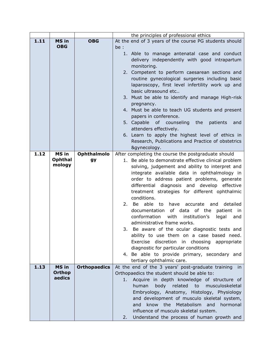|      |                          |                     | the principles of professional ethics                   |
|------|--------------------------|---------------------|---------------------------------------------------------|
| 1.11 | <b>MS in</b>             | <b>OBG</b>          | At the end of 3 years of the course PG students should  |
|      | <b>OBG</b>               |                     | be :                                                    |
|      |                          |                     | 1. Able to manage antenatal case and conduct            |
|      |                          |                     | delivery independently with good intrapartum            |
|      |                          |                     | monitoring.                                             |
|      |                          |                     | 2. Competent to perform caesarean sections and          |
|      |                          |                     | routine gynecological surgeries including basic         |
|      |                          |                     | laparoscopy, first level infertility work up and        |
|      |                          |                     | basic ultrasound etc                                    |
|      |                          |                     | 3. Must be able to identify and manage High-risk        |
|      |                          |                     | pregnancy.                                              |
|      |                          |                     | 4. Must be able to teach UG students and present        |
|      |                          |                     | papers in conference.                                   |
|      |                          |                     | 5. Capable of counseling the<br>patients<br>and         |
|      |                          |                     | attenders effectively.                                  |
|      |                          |                     |                                                         |
|      |                          |                     | 6. Learn to apply the highest level of ethics in        |
|      |                          |                     | Research, Publications and Practice of obstetrics       |
|      |                          |                     | &gynecology.                                            |
| 1.12 | MS in                    | <b>Ophthalmolo</b>  | After completing the course the postgraduate should     |
|      | <b>Ophthal</b><br>mology | gy                  | 1. Be able to demonstrate effective clinical problem    |
|      |                          |                     | solving, judgement and ability to interpret and         |
|      |                          |                     | integrate available data in ophthalmology in            |
|      |                          |                     | order to address patient problems, generate             |
|      |                          |                     | differential diagnosis and develop effective            |
|      |                          |                     | treatment strategies for different ophthalmic           |
|      |                          |                     | conditions.                                             |
|      |                          |                     | able to<br>2. Be<br>have<br>accurate<br>and<br>detailed |
|      |                          |                     | documentation of data of the<br>patient in              |
|      |                          |                     | conformation<br>with<br>institution's<br>legal<br>and   |
|      |                          |                     | administrative frame works.                             |
|      |                          |                     | 3. Be aware of the ocular diagnostic tests and          |
|      |                          |                     | ability to use them on a case based need.               |
|      |                          |                     | Exercise discretion in choosing appropriate             |
|      |                          |                     | diagnostic for particular conditions                    |
|      |                          |                     | 4. Be able to provide primary, secondary and            |
|      |                          |                     | tertiary ophthalmic care.                               |
| 1.13 | <b>MS in</b>             | <b>Orthopaedics</b> | At the end of the 3 years' post-graduate training<br>in |
|      | <b>Orthop</b>            |                     | Orthopaedics the student should be able to:             |
|      | aedics                   |                     | Acquire in depth knowledge of structure of<br>1.        |
|      |                          |                     | human<br>body<br>related<br>to<br>musculoskeletal       |
|      |                          |                     | Embryology, Anatomy, Histology, Physiology              |
|      |                          |                     | and development of musculo skeletal system,             |
|      |                          |                     | the<br>Metabolism<br>know<br>and<br>and<br>hormonal     |
|      |                          |                     | influence of musculo skeletal system.                   |
|      |                          |                     | Understand the process of human growth and<br>2.        |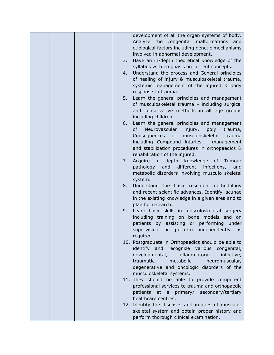|  |    | development of all the organ systems of body.       |
|--|----|-----------------------------------------------------|
|  |    | Analyze the congenital<br>malformations<br>and      |
|  |    | etiological factors including genetic mechanisms    |
|  |    | involved in abnormal development.                   |
|  | 3. | Have an in-depth theoretical knowledge of the       |
|  |    | syllabus with emphasis on current concepts.         |
|  | 4. | Understand the process and General principles       |
|  |    | of healing of injury & musculoskeletal trauma,      |
|  |    | systemic management of the injured & body           |
|  |    | response to trauma.                                 |
|  | 5. | Learn the general principles and management         |
|  |    | of musculoskeletal trauma - including surgical      |
|  |    | and conservative methods in all age groups          |
|  |    | including children.                                 |
|  | 6. | Learn the general principles and management         |
|  |    | Neurovascular<br>of<br>injury,<br>poly<br>trauma,   |
|  |    | musculoskeletal<br>Consequences<br>of<br>trauma     |
|  |    | including Compound injuries - management            |
|  |    | and stabilization procedures in orthopaedics &      |
|  |    | rehabilitation of the injured.                      |
|  | 7. | Acquire in<br>depth<br>knowledge of Tumour          |
|  |    | and<br>different infections,<br>pathology<br>and    |
|  |    | metabolic disorders involving musculo skeletal      |
|  |    | system.                                             |
|  | 8. | Understand the basic research methodology           |
|  |    | and recent scientific advances. Identify lacunae    |
|  |    | in the existing knowledge in a given area and to    |
|  |    | plan for research.                                  |
|  | 9. | Learn basic skills in musculoskeletal surgery       |
|  |    | including training on bone models and on            |
|  |    | patients by assisting or performing under           |
|  |    | supervision<br>perform<br>independently<br>or<br>as |
|  |    | required.                                           |
|  |    | 10. Postgraduate in Orthopaedics should be able to  |
|  |    | identify and recognize various congenital,          |
|  |    | developmental,<br>inflammatory,<br>infective,       |
|  |    | traumatic,<br>metabolic,<br>neuromuscular,          |
|  |    | degenerative and oncologic disorders of the         |
|  |    | musculoskeletal systems.                            |
|  |    | 11. They should be able to provide competent        |
|  |    | professional services to trauma and orthopaedic     |
|  |    | patients<br>at a primary/ secondary/tertiary        |
|  |    | healthcare centres.                                 |
|  |    | 12. Identify the diseases and injuries of musculo-  |
|  |    | skeletal system and obtain proper history and       |
|  |    | perform thorough clinical examination.              |
|  |    |                                                     |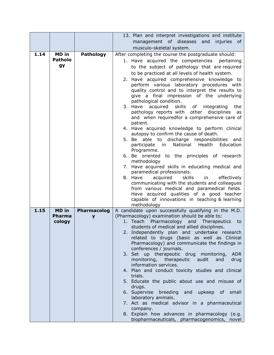|      |                |                    | 13. Plan and interpret investigations and institute                                            |
|------|----------------|--------------------|------------------------------------------------------------------------------------------------|
|      |                |                    | management of diseases and injuries of                                                         |
|      |                |                    | musculo-skeletal system.                                                                       |
| 1.14 | MD in          | Pathology          | After completing the course the postgraduate should:                                           |
|      | <b>Patholo</b> |                    | 1. Have acquired the competencies pertaining                                                   |
|      | <b>gy</b>      |                    | to the subject of pathology that are required                                                  |
|      |                |                    | to be practiced at all levels of health system.                                                |
|      |                |                    | 2. Have acquired comprehensive knowledge to                                                    |
|      |                |                    | perform various laboratory procedures with                                                     |
|      |                |                    | quality control and to interpret the results to                                                |
|      |                |                    | give a final impression of the underlying                                                      |
|      |                |                    | pathological condition.                                                                        |
|      |                |                    | acquired skills of integrating<br>3. Have<br>the                                               |
|      |                |                    | pathology reports with other disciplines<br>as<br>and when requiredfor a comprehensive care of |
|      |                |                    | patient.                                                                                       |
|      |                |                    | 4. Have acquired knowledge to perform clinical                                                 |
|      |                |                    | autopsy to confirm the cause of death.                                                         |
|      |                |                    | 5. Be able to discharge responsibilities and                                                   |
|      |                |                    | National<br>Health<br>Education<br>participate in                                              |
|      |                |                    | Programme.                                                                                     |
|      |                |                    | 6. Be oriented to the principles of research<br>methodology                                    |
|      |                |                    | 7. Have acquired skills in educating medical and                                               |
|      |                |                    | paramedical professionals.                                                                     |
|      |                |                    | 8. Have<br>skills<br>acquired<br>in<br>effectively                                             |
|      |                |                    | communicating with the students and colleagues                                                 |
|      |                |                    | from various medical and paramedical fields.                                                   |
|      |                |                    | Have acquired qualities of a good teacher<br>capable of innovations in teaching & learning     |
|      |                |                    | methodology                                                                                    |
| 1.15 | <b>MD</b> in   | <b>Pharmacolog</b> | A candidate upon successfully qualifying in the M.D.                                           |
|      | <b>Pharma</b>  | V                  | (Pharmacology) examination should be able to:                                                  |
|      | cology         |                    | 1. Teach Pharmacology and Therapeutics<br>to                                                   |
|      |                |                    | students of medical and allied disciplines.                                                    |
|      |                |                    | 2. Independently plan and undertake research                                                   |
|      |                |                    | related to drugs (basic as well as Clinical<br>Pharmacology) and communicate the findings in   |
|      |                |                    | conferences / journals.                                                                        |
|      |                |                    | 3. Set up therapeutic drug monitoring,<br><b>ADR</b>                                           |
|      |                |                    | monitoring, therapeutic audit<br>and<br>drug                                                   |
|      |                |                    | information services.                                                                          |
|      |                |                    | 4. Plan and conduct toxicity studies and clinical                                              |
|      |                |                    | trials.                                                                                        |
|      |                |                    | 5. Educate the public about use and misuse of                                                  |
|      |                |                    | drugs.<br>6. Supervise breeding<br>and upkeep of small                                         |
|      |                |                    | laboratory animals.                                                                            |
|      |                |                    | 7. Act as medical advisor in a pharmaceutical                                                  |
|      |                |                    | company.                                                                                       |
|      |                |                    | 8. Explain how advances in pharmacology (e.g.                                                  |
|      |                |                    | biopharmaceuticals, pharmacogenomics, novel                                                    |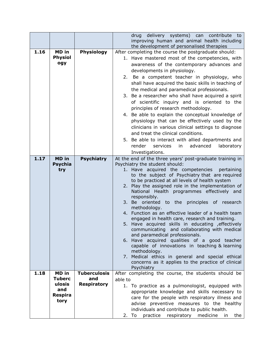|      |                                                                   |                                                  | delivery systems) can contribute to<br>drug<br>improving human and animal health including<br>the development of personalised therapies                                                                                                                                                                                                                                                                                                                                                                                                                                                                                                                                                                                                                                                                                                                                                                           |
|------|-------------------------------------------------------------------|--------------------------------------------------|-------------------------------------------------------------------------------------------------------------------------------------------------------------------------------------------------------------------------------------------------------------------------------------------------------------------------------------------------------------------------------------------------------------------------------------------------------------------------------------------------------------------------------------------------------------------------------------------------------------------------------------------------------------------------------------------------------------------------------------------------------------------------------------------------------------------------------------------------------------------------------------------------------------------|
| 1.16 | MD in<br><b>Physiol</b><br>ogy                                    | <b>Physiology</b>                                | After completing the course the postgraduate should:<br>1. Have mastered most of the competencies, with<br>awareness of the contemporary advances and<br>developments in physiology.<br>2. Be a competent teacher in physiology, who<br>shall have acquired the basic skills in teaching of<br>the medical and paramedical professionals.<br>3. Be a researcher who shall have acquired a spirit<br>of scientific inquiry and is oriented to the<br>principles of research methodology.<br>4. Be able to explain the conceptual knowledge of<br>physiology that can be effectively used by the<br>clinicians in various clinical settings to diagnose<br>and treat the clinical conditions.<br>5. Be able to interact with allied departments and<br>render<br>services<br>advanced<br>laboratory<br>in<br>Investigations.                                                                                        |
| 1.17 | <b>MD</b> in<br><b>Psychia</b><br>try                             | <b>Psychiatry</b>                                | At the end of the three years' post-graduate training in<br>Psychiatry the student should:<br>1. Have acquired the competencies<br>pertaining<br>to the subject of Psychiatry that are required<br>to be practiced at all levels of health system<br>2. Play the assigned role in the implementation of<br>National Health programmes effectively and<br>responsibly.<br>3. Be oriented to the principles of research<br>methodology.<br>4. Function as an effective leader of a health team<br>engaged in health care, research and training.<br>5. Have acquired skills in educating , effectively<br>communicating and collaborating with medical<br>and paramedical professionals.<br>6. Have acquired qualities of a good teacher<br>capable of innovations in teaching & learning<br>methodology.<br>7. Medical ethics in general and special ethical<br>concerns as it applies to the practice of clinical |
| 1.18 | MD in<br><b>Tuberc</b><br>ulosis<br>and<br><b>Respira</b><br>tory | <b>Tuberculosis</b><br>and<br><b>Respiratory</b> | Psychiatry<br>After completing the course, the students should be<br>able to<br>1. To practice as a pulmonologist, equipped with<br>appropriate knowledge and skills necessary to<br>care for the people with respiratory illness and<br>advise preventive measures to the healthy<br>individuals and contribute to public health.<br>practice<br>respiratory medicine<br>2. To<br>the<br>in                                                                                                                                                                                                                                                                                                                                                                                                                                                                                                                      |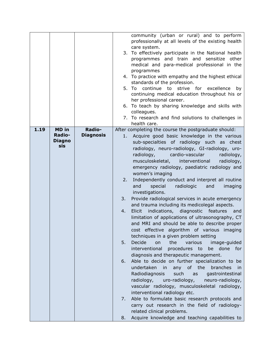|      |               |                  |    | community (urban or rural) and to perform             |
|------|---------------|------------------|----|-------------------------------------------------------|
|      |               |                  |    | professionally at all levels of the existing health   |
|      |               |                  |    | care system.                                          |
|      |               |                  |    | 3. To effectively participate in the National health  |
|      |               |                  |    | programmes and train and sensitize other              |
|      |               |                  |    | medical and para-medical professional in the          |
|      |               |                  |    | programmes                                            |
|      |               |                  |    | 4. To practice with empathy and the highest ethical   |
|      |               |                  |    | standards of the profession.                          |
|      |               |                  |    | 5. To continue to strive for                          |
|      |               |                  |    | excellence<br>by                                      |
|      |               |                  |    | continuing medical education throughout his or        |
|      |               |                  |    | her professional career.                              |
|      |               |                  |    | 6. To teach by sharing knowledge and skills with      |
|      |               |                  |    | colleagues.                                           |
|      |               |                  |    | 7. To research and find solutions to challenges in    |
|      |               |                  |    | health care.                                          |
| 1.19 | <b>MD</b> in  | Radio-           |    | After completing the course the postgraduate should:  |
|      | <b>Radio-</b> | <b>Diagnosis</b> | 1. | Acquire good basic knowledge in the various           |
|      | <b>Diagno</b> |                  |    | sub-specialties of radiology such as chest            |
|      | sis           |                  |    | radiology, neuro-radiology, GI-radiology, uro-        |
|      |               |                  |    |                                                       |
|      |               |                  |    | radiology,<br>cardio-vascular<br>radiology,           |
|      |               |                  |    | musculoskeletal,<br>interventional<br>radiology,      |
|      |               |                  |    | emergency radiology, paediatric radiology and         |
|      |               |                  |    | women's imaging                                       |
|      |               |                  | 2. | Independently conduct and interpret all routine       |
|      |               |                  |    | special<br>radiologic<br>and<br>and<br>imaging        |
|      |               |                  |    | investigations.                                       |
|      |               |                  | 3. | Provide radiological services in acute emergency      |
|      |               |                  |    | and trauma including its medicolegal aspects.         |
|      |               |                  |    |                                                       |
|      |               |                  | 4. | Elicit indications, diagnostic features<br>and        |
|      |               |                  |    | limitation of applications of ultrasonography, CT     |
|      |               |                  |    | and MRI and should be able to describe proper         |
|      |               |                  |    | cost effective algorithm of various imaging           |
|      |               |                  |    | techniques in a given problem setting                 |
|      |               |                  | 5. | Decide<br>on<br>the<br>various<br>image-guided        |
|      |               |                  |    | interventional<br>done for<br>procedures to<br>be     |
|      |               |                  |    |                                                       |
|      |               |                  |    | diagnosis and therapeutic management.                 |
|      |               |                  | 6. | Able to decide on further specialization to be        |
|      |               |                  |    | any of the branches<br>undertaken in<br><sub>in</sub> |
|      |               |                  |    | Radiodiagnosis<br>such<br>gastrointestinal<br>as      |
|      |               |                  |    | radiology,<br>uro-radiology,<br>neuro-radiology,      |
|      |               |                  |    | vascular radiology, musculoskeletal radiology,        |
|      |               |                  |    | interventional radiology etc.                         |
|      |               |                  | 7. | Able to formulate basic research protocols and        |
|      |               |                  |    | carry out research in the field of radiology-         |
|      |               |                  |    |                                                       |
|      |               |                  |    | related clinical problems.                            |
|      |               |                  | 8. | Acquire knowledge and teaching capabilities to        |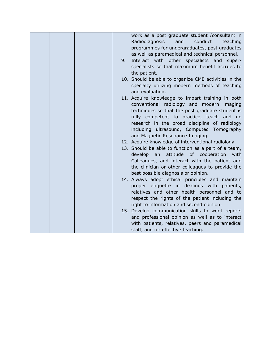|  |    | work as a post graduate student / consultant in      |
|--|----|------------------------------------------------------|
|  |    |                                                      |
|  |    | conduct<br>Radiodiagnosis<br>and<br>teaching         |
|  |    | programmes for undergraduates, post graduates        |
|  |    | as well as paramedical and technical personnel.      |
|  | 9. | Interact with other specialists and super-           |
|  |    | specialists so that maximum benefit accrues to       |
|  |    | the patient.                                         |
|  |    | 10. Should be able to organize CME activities in the |
|  |    | specialty utilizing modern methods of teaching       |
|  |    | and evaluation.                                      |
|  |    | 11. Acquire knowledge to impart training in both     |
|  |    | conventional radiology and modern imaging            |
|  |    | techniques so that the post graduate student is      |
|  |    | fully competent to practice, teach and do            |
|  |    | research in the broad discipline of radiology        |
|  |    |                                                      |
|  |    | including ultrasound, Computed Tomography            |
|  |    | and Magnetic Resonance Imaging.                      |
|  |    | 12. Acquire knowledge of interventional radiology.   |
|  |    | 13. Should be able to function as a part of a team,  |
|  |    | develop an<br>attitude of cooperation<br>with        |
|  |    | Colleagues, and interact with the patient and        |
|  |    | the clinician or other colleagues to provide the     |
|  |    | best possible diagnosis or opinion.                  |
|  |    | 14. Always adopt ethical principles and maintain     |
|  |    | proper etiquette in dealings with patients,          |
|  |    | relatives and other health personnel and to          |
|  |    | respect the rights of the patient including the      |
|  |    | right to information and second opinion.             |
|  |    | 15. Develop communication skills to word reports     |
|  |    | and professional opinion as well as to interact      |
|  |    | with patients, relatives, peers and paramedical      |
|  |    | staff, and for effective teaching.                   |
|  |    |                                                      |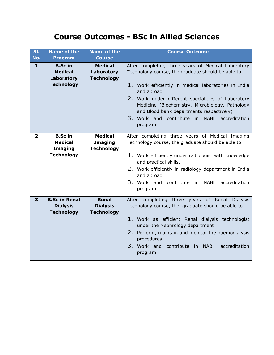#### **Course Outcomes - BSc in Allied Sciences**

| SI.<br>No.   | <b>Name of the</b><br><b>Program</b>                                    | <b>Name of the</b><br><b>Course</b>               | <b>Course Outcome</b>                                                                                                                                                                                                                                                                                                                                                                          |
|--------------|-------------------------------------------------------------------------|---------------------------------------------------|------------------------------------------------------------------------------------------------------------------------------------------------------------------------------------------------------------------------------------------------------------------------------------------------------------------------------------------------------------------------------------------------|
| $\mathbf{1}$ | <b>B.Sc in</b><br><b>Medical</b><br>Laboratory<br><b>Technology</b>     | <b>Medical</b><br>Laboratory<br><b>Technology</b> | After completing three years of Medical Laboratory<br>Technology course, the graduate should be able to<br>1. Work efficiently in medical laboratories in India<br>and abroad<br>2. Work under different specialities of Laboratory<br>Medicine (Biochemistry, Microbiology, Pathology<br>and Blood bank departments respectively)<br>3. Work and contribute in NABL accreditation<br>program. |
| $\mathbf{2}$ | <b>B.Sc in</b><br><b>Medical</b><br><b>Imaging</b><br><b>Technology</b> | <b>Medical</b><br>Imaging<br><b>Technology</b>    | After completing three years of Medical Imaging<br>Technology course, the graduate should be able to<br>1. Work efficiently under radiologist with knowledge<br>and practical skills.<br>2. Work efficiently in radiology department in India<br>and abroad<br>3. Work and contribute in NABL accreditation<br>program                                                                         |
| 3            | <b>B.Sc in Renal</b><br><b>Dialysis</b><br><b>Technology</b>            | Renal<br><b>Dialysis</b><br><b>Technology</b>     | After completing three years of Renal<br><b>Dialysis</b><br>Technology course, the graduate should be able to<br>1. Work as efficient Renal dialysis technologist<br>under the Nephrology department<br>2.<br>Perform, maintain and monitor the haemodialysis<br>procedures<br>3.<br>Work and contribute in NABH accreditation<br>program                                                      |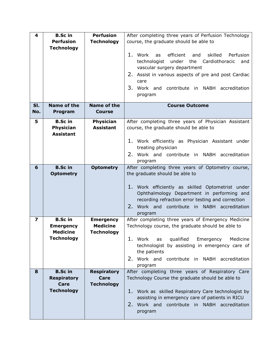| 4   | <b>B.Sc in</b>     | <b>Perfusion</b>   | After completing three years of Perfusion Technology |
|-----|--------------------|--------------------|------------------------------------------------------|
|     | <b>Perfusion</b>   | <b>Technology</b>  | course, the graduate should be able to               |
|     | <b>Technology</b>  |                    |                                                      |
|     |                    |                    | 1. Work<br>skilled<br>efficient<br>and<br>Perfusion  |
|     |                    |                    | as                                                   |
|     |                    |                    | technologist<br>under the Cardiothoracic<br>and      |
|     |                    |                    | vascular surgery department                          |
|     |                    |                    | 2. Assist in various aspects of pre and post Cardiac |
|     |                    |                    | care                                                 |
|     |                    |                    | 3.<br>Work and contribute in NABH accreditation      |
|     |                    |                    | program                                              |
|     |                    |                    |                                                      |
| SI. | <b>Name of the</b> | <b>Name of the</b> | <b>Course Outcome</b>                                |
| No. | Program            | <b>Course</b>      |                                                      |
| 5   | <b>B.Sc in</b>     | <b>Physician</b>   | After completing three years of Physician Assistant  |
|     | Physician          | <b>Assistant</b>   | course, the graduate should be able to               |
|     | <b>Assistant</b>   |                    |                                                      |
|     |                    |                    | 1. Work efficiently as Physician Assistant under     |
|     |                    |                    | treating physician                                   |
|     |                    |                    | 2. Work and contribute in NABH accreditation         |
|     |                    |                    |                                                      |
|     | <b>B.Sc in</b>     |                    | program                                              |
| 6   |                    | <b>Optometry</b>   | After completing three years of Optometry course,    |
|     | <b>Optometry</b>   |                    | the graduate should be able to                       |
|     |                    |                    |                                                      |
|     |                    |                    | 1. Work efficiently as skilled Optometrist under     |
|     |                    |                    | Ophthalmology Department in performing and           |
|     |                    |                    | recording refraction error testing and correction    |
|     |                    |                    | 2.<br>Work and contribute in NABH accreditation      |
|     |                    |                    | program                                              |
| 7   | <b>B.Sc in</b>     | <b>Emergency</b>   | After completing three years of Emergency Medicine   |
|     | <b>Emergency</b>   | <b>Medicine</b>    | Technology course, the graduate should be able to    |
|     | <b>Medicine</b>    | <b>Technology</b>  |                                                      |
|     | <b>Technology</b>  |                    | 1. Work<br>qualified<br>Medicine<br>Emergency<br>as  |
|     |                    |                    | technologist by assisting in emergency care of       |
|     |                    |                    | the patients                                         |
|     |                    |                    | Work and contribute in NABH accreditation<br>2.      |
|     |                    |                    | program                                              |
| 8   | <b>B.Sc in</b>     | <b>Respiratory</b> | After completing three years of Respiratory Care     |
|     | <b>Respiratory</b> | <b>Care</b>        | Technology Course the graduate should be able to     |
|     | <b>Care</b>        | <b>Technology</b>  |                                                      |
|     | <b>Technology</b>  |                    | 1. Work as skilled Respiratory Care technologist by  |
|     |                    |                    | assisting in emergency care of patients in RICU      |
|     |                    |                    | Work and contribute in NABH accreditation<br>2.      |
|     |                    |                    | program                                              |
|     |                    |                    |                                                      |